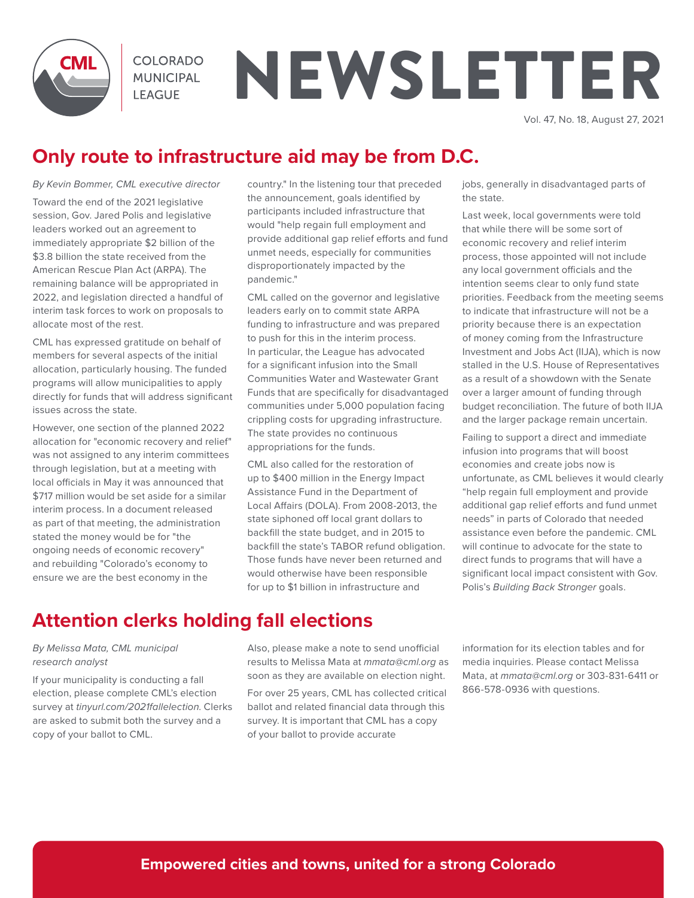

**COLORADO MUNICIPAL LEAGUE** 

# NEWSLETTER

Vol. 47, No. 18, August 27, 2021

## **Only route to infrastructure aid may be from D.C.**

*By Kevin Bommer, CML executive director*

Toward the end of the 2021 legislative session, Gov. Jared Polis and legislative leaders worked out an agreement to immediately appropriate \$2 billion of the \$3.8 billion the state received from the American Rescue Plan Act (ARPA). The remaining balance will be appropriated in 2022, and legislation directed a handful of interim task forces to work on proposals to allocate most of the rest.

CML has expressed gratitude on behalf of members for several aspects of the initial allocation, particularly housing. The funded programs will allow municipalities to apply directly for funds that will address significant issues across the state.

However, one section of the planned 2022 allocation for "economic recovery and relief" was not assigned to any interim committees through legislation, but at a meeting with local officials in May it was announced that \$717 million would be set aside for a similar interim process. In a document released as part of that meeting, the administration stated the money would be for "the ongoing needs of economic recovery" and rebuilding "Colorado's economy to ensure we are the best economy in the

country." In the listening tour that preceded the announcement, goals identified by participants included infrastructure that would "help regain full employment and provide additional gap relief efforts and fund unmet needs, especially for communities disproportionately impacted by the pandemic."

CML called on the governor and legislative leaders early on to commit state ARPA funding to infrastructure and was prepared to push for this in the interim process. In particular, the League has advocated for a significant infusion into the Small Communities Water and Wastewater Grant Funds that are specifically for disadvantaged communities under 5,000 population facing crippling costs for upgrading infrastructure. The state provides no continuous appropriations for the funds.

CML also called for the restoration of up to \$400 million in the Energy Impact Assistance Fund in the Department of Local Affairs (DOLA). From 2008-2013, the state siphoned off local grant dollars to backfill the state budget, and in 2015 to backfill the state's TABOR refund obligation. Those funds have never been returned and would otherwise have been responsible for up to \$1 billion in infrastructure and

jobs, generally in disadvantaged parts of the state.

Last week, local governments were told that while there will be some sort of economic recovery and relief interim process, those appointed will not include any local government officials and the intention seems clear to only fund state priorities. Feedback from the meeting seems to indicate that infrastructure will not be a priority because there is an expectation of money coming from the Infrastructure Investment and Jobs Act (IIJA), which is now stalled in the U.S. House of Representatives as a result of a showdown with the Senate over a larger amount of funding through budget reconciliation. The future of both IIJA and the larger package remain uncertain.

Failing to support a direct and immediate infusion into programs that will boost economies and create jobs now is unfortunate, as CML believes it would clearly "help regain full employment and provide additional gap relief efforts and fund unmet needs" in parts of Colorado that needed assistance even before the pandemic. CML will continue to advocate for the state to direct funds to programs that will have a significant local impact consistent with Gov. Polis's *Building Back Stronger* goals.

## **Attention clerks holding fall elections**

#### *By Melissa Mata, CML municipal research analyst*

If your municipality is conducting a fall election, please complete CML's election survey at *tinyurl.com/2021fallelection*. Clerks are asked to submit both the survey and a copy of your ballot to CML.

Also, please make a note to send unofficial results to Melissa Mata at *mmata@cml.org* as soon as they are available on election night. For over 25 years, CML has collected critical ballot and related financial data through this survey. It is important that CML has a copy of your ballot to provide accurate

information for its election tables and for media inquiries. Please contact Melissa Mata, at *mmata@cml.org* or 303-831-6411 or 866-578-0936 with questions.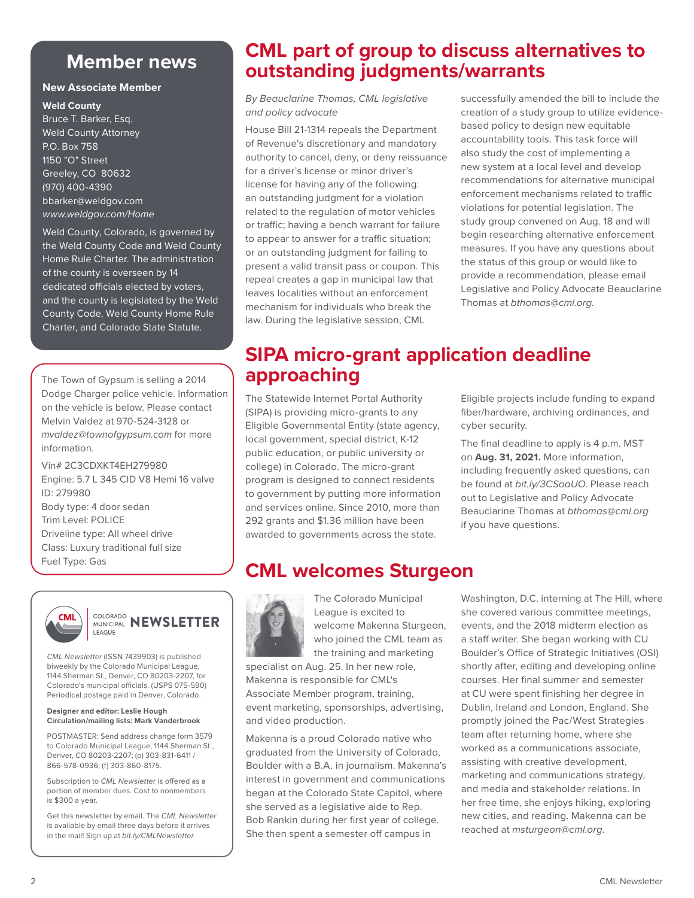## **Member news**

#### **New Associate Member**

**Weld County**

Bruce T. Barker, Esq. Weld County Attorney P.O. Box 758 1150 "O" Street Greeley, CO 80632 (970) 400-4390 bbarker@weldgov.com *www.weldgov.com/Home*

Weld County, Colorado, is governed by the Weld County Code and Weld County Home Rule Charter. The administration of the county is overseen by 14 dedicated officials elected by voters, and the county is legislated by the Weld County Code, Weld County Home Rule Charter, and Colorado State Statute.

The Town of Gypsum is selling a 2014 Dodge Charger police vehicle. Information on the vehicle is below. Please contact Melvin Valdez at 970-524-3128 or *mvaldez@townofgypsum.com* for more information.

Vin# 2C3CDXKT4EH279980 Engine: 5.7 L 345 CID V8 Hemi 16 valve ID: 279980 Body type: 4 door sedan Trim Level: POLICE Driveline type: All wheel drive Class: Luxury traditional full size Fuel Type: Gas



#### **COLORADO NEWSLETTER** LEAGUE

*CML Newsletter* (ISSN 7439903) is published biweekly by the Colorado Municipal League, 1144 Sherman St., Denver, CO 80203-2207, for Colorado's municipal officials. (USPS 075-590) Periodical postage paid in Denver, Colorado.

#### **Designer and editor: Leslie Hough Circulation/mailing lists: Mark Vanderbrook**

POSTMASTER: Send address change form 3579 to Colorado Municipal League, 1144 Sherman St., Denver, CO 80203-2207; (p) 303-831-6411 / 866-578-0936; (f) 303-860-8175.

Subscription to *CML Newsletter* is offered as a portion of member dues. Cost to nonmembers is \$300 a year.

Get this newsletter by email. The *CML Newsletter*  is available by email three days before it arrives in the mail! Sign up at *bit.ly/CMLNewsletter*.

## **CML part of group to discuss alternatives to outstanding judgments/warrants**

*By Beauclarine Thomas, CML legislative and policy advocate*

House Bill 21-1314 repeals the Department of Revenue's discretionary and mandatory authority to cancel, deny, or deny reissuance for a driver's license or minor driver's license for having any of the following: an outstanding judgment for a violation related to the regulation of motor vehicles or traffic; having a bench warrant for failure to appear to answer for a traffic situation; or an outstanding judgment for failing to present a valid transit pass or coupon. This repeal creates a gap in municipal law that leaves localities without an enforcement mechanism for individuals who break the law. During the legislative session, CML

successfully amended the bill to include the creation of a study group to utilize evidencebased policy to design new equitable accountability tools. This task force will also study the cost of implementing a new system at a local level and develop recommendations for alternative municipal enforcement mechanisms related to traffic violations for potential legislation. The study group convened on Aug. 18 and will begin researching alternative enforcement measures. If you have any questions about the status of this group or would like to provide a recommendation, please email Legislative and Policy Advocate Beauclarine Thomas at *bthomas@cml.org.*

## **SIPA micro-grant application deadline approaching**

The Statewide Internet Portal Authority (SIPA) is providing micro-grants to any Eligible Governmental Entity (state agency, local government, special district, K-12 public education, or public university or college) in Colorado. The micro-grant program is designed to connect residents to government by putting more information and services online. Since 2010, more than 292 grants and \$1.36 million have been awarded to governments across the state.

Eligible projects include funding to expand fiber/hardware, archiving ordinances, and cyber security.

The final deadline to apply is 4 p.m. MST on **Aug. 31, 2021.** More information, including frequently asked questions, can be found at *bit.ly/3CSoaUO*. Please reach out to Legislative and Policy Advocate Beauclarine Thomas at *bthomas@cml.org* if you have questions.

## **CML welcomes Sturgeon**



The Colorado Municipal League is excited to welcome Makenna Sturgeon, who joined the CML team as the training and marketing

specialist on Aug. 25. In her new role, Makenna is responsible for CML's Associate Member program, training, event marketing, sponsorships, advertising, and video production.

Makenna is a proud Colorado native who graduated from the University of Colorado, Boulder with a B.A. in journalism. Makenna's interest in government and communications began at the Colorado State Capitol, where she served as a legislative aide to Rep. Bob Rankin during her first year of college. She then spent a semester off campus in

Washington, D.C. interning at The Hill, where she covered various committee meetings, events, and the 2018 midterm election as a staff writer. She began working with CU Boulder's Office of Strategic Initiatives (OSI) shortly after, editing and developing online courses. Her final summer and semester at CU were spent finishing her degree in Dublin, Ireland and London, England. She promptly joined the Pac/West Strategies team after returning home, where she worked as a communications associate, assisting with creative development, marketing and communications strategy, and media and stakeholder relations. In her free time, she enjoys hiking, exploring new cities, and reading. Makenna can be reached at *msturgeon@cml.org.*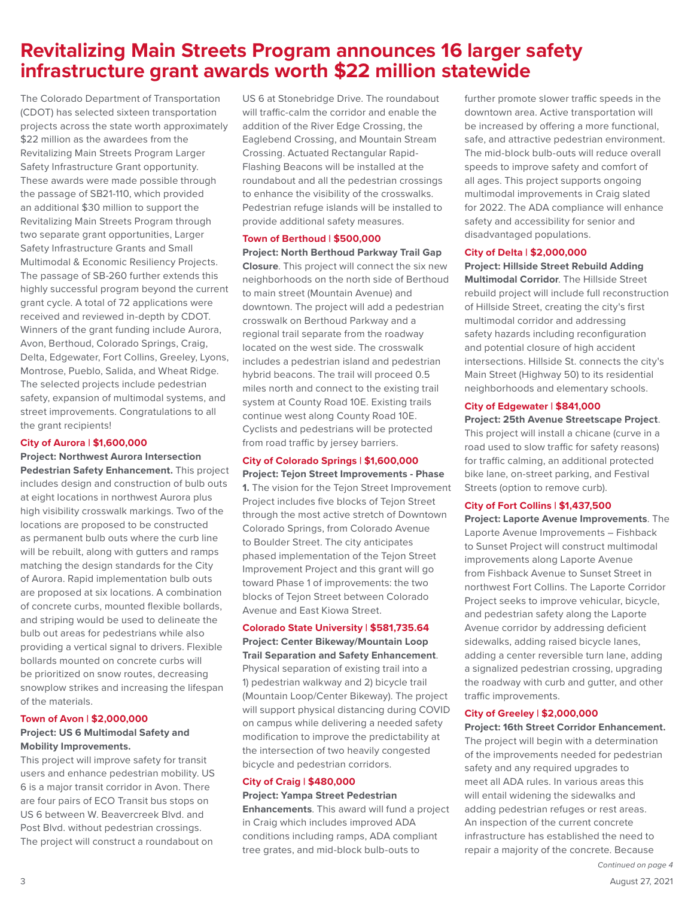## **Revitalizing Main Streets Program announces 16 larger safety infrastructure grant awards worth \$22 million statewide**

The Colorado Department of Transportation (CDOT) has selected sixteen transportation projects across the state worth approximately \$22 million as the awardees from the Revitalizing Main Streets Program Larger Safety Infrastructure Grant opportunity. These awards were made possible through the passage of SB21-110, which provided an additional \$30 million to support the Revitalizing Main Streets Program through two separate grant opportunities, Larger Safety Infrastructure Grants and Small Multimodal & Economic Resiliency Projects. The passage of SB-260 further extends this highly successful program beyond the current grant cycle. A total of 72 applications were received and reviewed in-depth by CDOT. Winners of the grant funding include Aurora, Avon, Berthoud, Colorado Springs, Craig, Delta, Edgewater, Fort Collins, Greeley, Lyons, Montrose, Pueblo, Salida, and Wheat Ridge. The selected projects include pedestrian safety, expansion of multimodal systems, and street improvements. Congratulations to all the grant recipients!

#### **City of Aurora | \$1,600,000**

**Project: Northwest Aurora Intersection Pedestrian Safety Enhancement.** This project includes design and construction of bulb outs at eight locations in northwest Aurora plus high visibility crosswalk markings. Two of the locations are proposed to be constructed as permanent bulb outs where the curb line will be rebuilt, along with gutters and ramps matching the design standards for the City of Aurora. Rapid implementation bulb outs are proposed at six locations. A combination of concrete curbs, mounted flexible bollards, and striping would be used to delineate the bulb out areas for pedestrians while also providing a vertical signal to drivers. Flexible bollards mounted on concrete curbs will be prioritized on snow routes, decreasing snowplow strikes and increasing the lifespan of the materials.

#### **Town of Avon | \$2,000,000**

#### **Project: US 6 Multimodal Safety and Mobility Improvements.**

This project will improve safety for transit users and enhance pedestrian mobility. US 6 is a major transit corridor in Avon. There are four pairs of ECO Transit bus stops on US 6 between W. Beavercreek Blvd. and Post Blvd. without pedestrian crossings. The project will construct a roundabout on

US 6 at Stonebridge Drive. The roundabout will traffic-calm the corridor and enable the addition of the River Edge Crossing, the Eaglebend Crossing, and Mountain Stream Crossing. Actuated Rectangular Rapid-Flashing Beacons will be installed at the roundabout and all the pedestrian crossings to enhance the visibility of the crosswalks. Pedestrian refuge islands will be installed to provide additional safety measures.

#### **Town of Berthoud | \$500,000**

**Project: North Berthoud Parkway Trail Gap Closure**. This project will connect the six new neighborhoods on the north side of Berthoud to main street (Mountain Avenue) and downtown. The project will add a pedestrian crosswalk on Berthoud Parkway and a regional trail separate from the roadway located on the west side. The crosswalk includes a pedestrian island and pedestrian hybrid beacons. The trail will proceed 0.5 miles north and connect to the existing trail system at County Road 10E. Existing trails continue west along County Road 10E. Cyclists and pedestrians will be protected from road traffic by jersey barriers.

#### **City of Colorado Springs | \$1,600,000**

**Project: Tejon Street Improvements - Phase 1.** The vision for the Tejon Street Improvement Project includes five blocks of Tejon Street through the most active stretch of Downtown Colorado Springs, from Colorado Avenue to Boulder Street. The city anticipates phased implementation of the Tejon Street Improvement Project and this grant will go toward Phase 1 of improvements: the two blocks of Tejon Street between Colorado Avenue and East Kiowa Street.

#### **Colorado State University | \$581,735.64**

**Project: Center Bikeway/Mountain Loop Trail Separation and Safety Enhancement**. Physical separation of existing trail into a 1) pedestrian walkway and 2) bicycle trail (Mountain Loop/Center Bikeway). The project will support physical distancing during COVID on campus while delivering a needed safety modification to improve the predictability at the intersection of two heavily congested bicycle and pedestrian corridors.

#### **City of Craig | \$480,000**

**Project: Yampa Street Pedestrian Enhancements**. This award will fund a project in Craig which includes improved ADA conditions including ramps, ADA compliant tree grates, and mid-block bulb-outs to

further promote slower traffic speeds in the downtown area. Active transportation will be increased by offering a more functional, safe, and attractive pedestrian environment. The mid-block bulb-outs will reduce overall speeds to improve safety and comfort of all ages. This project supports ongoing multimodal improvements in Craig slated for 2022. The ADA compliance will enhance safety and accessibility for senior and disadvantaged populations.

#### **City of Delta | \$2,000,000**

**Project: Hillside Street Rebuild Adding Multimodal Corridor**. The Hillside Street rebuild project will include full reconstruction of Hillside Street, creating the city's first multimodal corridor and addressing safety hazards including reconfiguration and potential closure of high accident intersections. Hillside St. connects the city's Main Street (Highway 50) to its residential neighborhoods and elementary schools.

#### **City of Edgewater | \$841,000**

**Project: 25th Avenue Streetscape Project**. This project will install a chicane (curve in a road used to slow traffic for safety reasons) for traffic calming, an additional protected bike lane, on-street parking, and Festival Streets (option to remove curb).

#### **City of Fort Collins | \$1,437,500**

**Project: Laporte Avenue Improvements**. The Laporte Avenue Improvements – Fishback to Sunset Project will construct multimodal improvements along Laporte Avenue from Fishback Avenue to Sunset Street in northwest Fort Collins. The Laporte Corridor Project seeks to improve vehicular, bicycle, and pedestrian safety along the Laporte Avenue corridor by addressing deficient sidewalks, adding raised bicycle lanes, adding a center reversible turn lane, adding a signalized pedestrian crossing, upgrading the roadway with curb and gutter, and other traffic improvements.

#### **City of Greeley | \$2,000,000**

**Project: 16th Street Corridor Enhancement.** The project will begin with a determination of the improvements needed for pedestrian safety and any required upgrades to meet all ADA rules. In various areas this will entail widening the sidewalks and adding pedestrian refuges or rest areas. An inspection of the current concrete infrastructure has established the need to repair a majority of the concrete. Because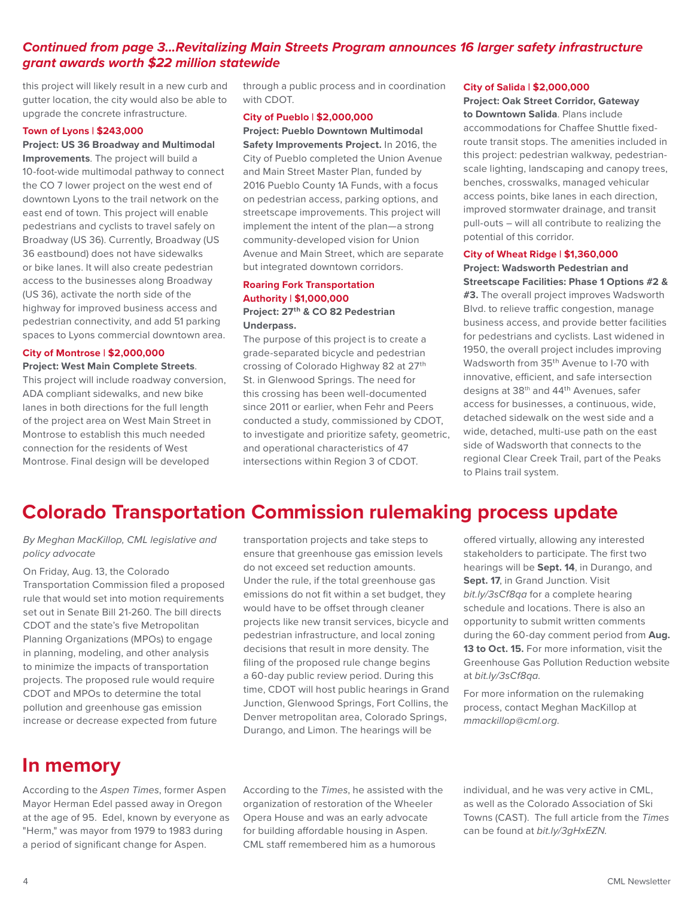#### *Continued from page 3...Revitalizing Main Streets Program announces 16 larger safety infrastructure grant awards worth \$22 million statewide*

this project will likely result in a new curb and gutter location, the city would also be able to upgrade the concrete infrastructure.

#### **Town of Lyons | \$243,000**

**Project: US 36 Broadway and Multimodal Improvements**. The project will build a 10-foot-wide multimodal pathway to connect the CO 7 lower project on the west end of downtown Lyons to the trail network on the east end of town. This project will enable pedestrians and cyclists to travel safely on Broadway (US 36). Currently, Broadway (US 36 eastbound) does not have sidewalks or bike lanes. It will also create pedestrian access to the businesses along Broadway (US 36), activate the north side of the highway for improved business access and pedestrian connectivity, and add 51 parking spaces to Lyons commercial downtown area.

#### **City of Montrose | \$2,000,000 Project: West Main Complete Streets**.

This project will include roadway conversion, ADA compliant sidewalks, and new bike lanes in both directions for the full length of the project area on West Main Street in Montrose to establish this much needed connection for the residents of West Montrose. Final design will be developed

through a public process and in coordination with CDOT.

#### **City of Pueblo | \$2,000,000**

**Project: Pueblo Downtown Multimodal** 

**Safety Improvements Project.** In 2016, the City of Pueblo completed the Union Avenue and Main Street Master Plan, funded by 2016 Pueblo County 1A Funds, with a focus on pedestrian access, parking options, and streetscape improvements. This project will implement the intent of the plan—a strong community-developed vision for Union Avenue and Main Street, which are separate but integrated downtown corridors.

#### **Roaring Fork Transportation Authority | \$1,000,000 Project: 27th & CO 82 Pedestrian Underpass.**

The purpose of this project is to create a grade-separated bicycle and pedestrian crossing of Colorado Highway 82 at 27th St. in Glenwood Springs. The need for this crossing has been well-documented since 2011 or earlier, when Fehr and Peers conducted a study, commissioned by CDOT, to investigate and prioritize safety, geometric, and operational characteristics of 47 intersections within Region 3 of CDOT.

#### **City of Salida | \$2,000,000**

**Project: Oak Street Corridor, Gateway to Downtown Salida**. Plans include accommodations for Chaffee Shuttle fixedroute transit stops. The amenities included in this project: pedestrian walkway, pedestrianscale lighting, landscaping and canopy trees, benches, crosswalks, managed vehicular access points, bike lanes in each direction, improved stormwater drainage, and transit pull-outs – will all contribute to realizing the potential of this corridor.

#### **City of Wheat Ridge | \$1,360,000**

**Project: Wadsworth Pedestrian and Streetscape Facilities: Phase 1 Options #2 & #3.** The overall project improves Wadsworth Blvd. to relieve traffic congestion, manage business access, and provide better facilities for pedestrians and cyclists. Last widened in 1950, the overall project includes improving Wadsworth from 35th Avenue to I-70 with innovative, efficient, and safe intersection designs at 38th and 44th Avenues, safer access for businesses, a continuous, wide, detached sidewalk on the west side and a wide, detached, multi-use path on the east side of Wadsworth that connects to the regional Clear Creek Trail, part of the Peaks to Plains trail system.

## **Colorado Transportation Commission rulemaking process update**

*By Meghan MacKillop, CML legislative and policy advocate*

On Friday, Aug. 13, the Colorado Transportation Commission filed a proposed rule that would set into motion requirements set out in Senate Bill 21-260. The bill directs CDOT and the state's five Metropolitan Planning Organizations (MPOs) to engage in planning, modeling, and other analysis to minimize the impacts of transportation projects. The proposed rule would require CDOT and MPOs to determine the total pollution and greenhouse gas emission increase or decrease expected from future

transportation projects and take steps to ensure that greenhouse gas emission levels do not exceed set reduction amounts. Under the rule, if the total greenhouse gas emissions do not fit within a set budget, they would have to be offset through cleaner projects like new transit services, bicycle and pedestrian infrastructure, and local zoning decisions that result in more density. The filing of the proposed rule change begins a 60-day public review period. During this time, CDOT will host public hearings in Grand Junction, Glenwood Springs, Fort Collins, the Denver metropolitan area, Colorado Springs, Durango, and Limon. The hearings will be

offered virtually, allowing any interested stakeholders to participate. The first two hearings will be **Sept. 14**, in Durango, and **Sept. 17, in Grand Junction. Visit** *bit.ly/3sCf8qa* for a complete hearing schedule and locations. There is also an opportunity to submit written comments during the 60-day comment period from **Aug. 13 to Oct. 15.** For more information, visit the Greenhouse Gas Pollution Reduction website at *bit.ly/3sCf8qa*.

For more information on the rulemaking process, contact Meghan MacKillop at *mmackillop@cml.org*.

## **In memory**

According to the *Aspen Times*, former Aspen Mayor Herman Edel passed away in Oregon at the age of 95. Edel, known by everyone as "Herm," was mayor from 1979 to 1983 during a period of significant change for Aspen.

According to the *Times*, he assisted with the organization of restoration of the Wheeler Opera House and was an early advocate for building affordable housing in Aspen. CML staff remembered him as a humorous

individual, and he was very active in CML, as well as the Colorado Association of Ski Towns (CAST). The full article from the *Times* can be found at *bit.ly/3gHxEZN.*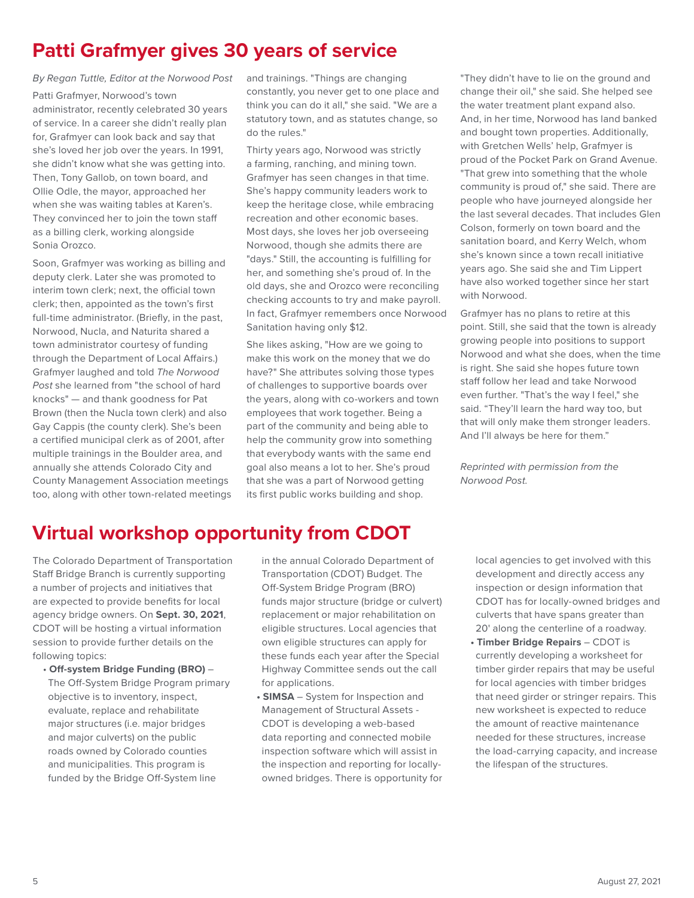## **Patti Grafmyer gives 30 years of service**

*By Regan Tuttle, Editor at the Norwood Post*

Patti Grafmyer, Norwood's town administrator, recently celebrated 30 years of service. In a career she didn't really plan for, Grafmyer can look back and say that she's loved her job over the years. In 1991, she didn't know what she was getting into. Then, Tony Gallob, on town board, and Ollie Odle, the mayor, approached her when she was waiting tables at Karen's. They convinced her to join the town staff as a billing clerk, working alongside Sonia Orozco.

Soon, Grafmyer was working as billing and deputy clerk. Later she was promoted to interim town clerk; next, the official town clerk; then, appointed as the town's first full-time administrator. (Briefly, in the past, Norwood, Nucla, and Naturita shared a town administrator courtesy of funding through the Department of Local Affairs.) Grafmyer laughed and told *The Norwood Post* she learned from "the school of hard knocks" — and thank goodness for Pat Brown (then the Nucla town clerk) and also Gay Cappis (the county clerk). She's been a certified municipal clerk as of 2001, after multiple trainings in the Boulder area, and annually she attends Colorado City and County Management Association meetings too, along with other town-related meetings

and trainings. "Things are changing constantly, you never get to one place and think you can do it all," she said. "We are a statutory town, and as statutes change, so do the rules."

Thirty years ago, Norwood was strictly a farming, ranching, and mining town. Grafmyer has seen changes in that time. She's happy community leaders work to keep the heritage close, while embracing recreation and other economic bases. Most days, she loves her job overseeing Norwood, though she admits there are "days." Still, the accounting is fulfilling for her, and something she's proud of. In the old days, she and Orozco were reconciling checking accounts to try and make payroll. In fact, Grafmyer remembers once Norwood Sanitation having only \$12.

She likes asking, "How are we going to make this work on the money that we do have?" She attributes solving those types of challenges to supportive boards over the years, along with co-workers and town employees that work together. Being a part of the community and being able to help the community grow into something that everybody wants with the same end goal also means a lot to her. She's proud that she was a part of Norwood getting its first public works building and shop.

"They didn't have to lie on the ground and change their oil," she said. She helped see the water treatment plant expand also. And, in her time, Norwood has land banked and bought town properties. Additionally, with Gretchen Wells' help, Grafmyer is proud of the Pocket Park on Grand Avenue. "That grew into something that the whole community is proud of," she said. There are people who have journeyed alongside her the last several decades. That includes Glen Colson, formerly on town board and the sanitation board, and Kerry Welch, whom she's known since a town recall initiative years ago. She said she and Tim Lippert have also worked together since her start with Norwood.

Grafmyer has no plans to retire at this point. Still, she said that the town is already growing people into positions to support Norwood and what she does, when the time is right. She said she hopes future town staff follow her lead and take Norwood even further. "That's the way I feel," she said. "They'll learn the hard way too, but that will only make them stronger leaders. And I'll always be here for them."

*Reprinted with permission from the Norwood Post.*

## **Virtual workshop opportunity from CDOT**

The Colorado Department of Transportation Staff Bridge Branch is currently supporting a number of projects and initiatives that are expected to provide benefits for local agency bridge owners. On **Sept. 30, 2021**, CDOT will be hosting a virtual information session to provide further details on the following topics:

• **Off-system Bridge Funding (BRO)** – The Off-System Bridge Program primary objective is to inventory, inspect, evaluate, replace and rehabilitate major structures (i.e. major bridges and major culverts) on the public roads owned by Colorado counties and municipalities. This program is funded by the Bridge Off-System line

in the annual Colorado Department of Transportation (CDOT) Budget. The Off-System Bridge Program (BRO) funds major structure (bridge or culvert) replacement or major rehabilitation on eligible structures. Local agencies that own eligible structures can apply for these funds each year after the Special Highway Committee sends out the call for applications.

**• SIMSA** – System for Inspection and Management of Structural Assets - CDOT is developing a web-based data reporting and connected mobile inspection software which will assist in the inspection and reporting for locallyowned bridges. There is opportunity for local agencies to get involved with this development and directly access any inspection or design information that CDOT has for locally-owned bridges and culverts that have spans greater than 20' along the centerline of a roadway.

**• Timber Bridge Repairs** – CDOT is currently developing a worksheet for timber girder repairs that may be useful for local agencies with timber bridges that need girder or stringer repairs. This new worksheet is expected to reduce the amount of reactive maintenance needed for these structures, increase the load-carrying capacity, and increase the lifespan of the structures.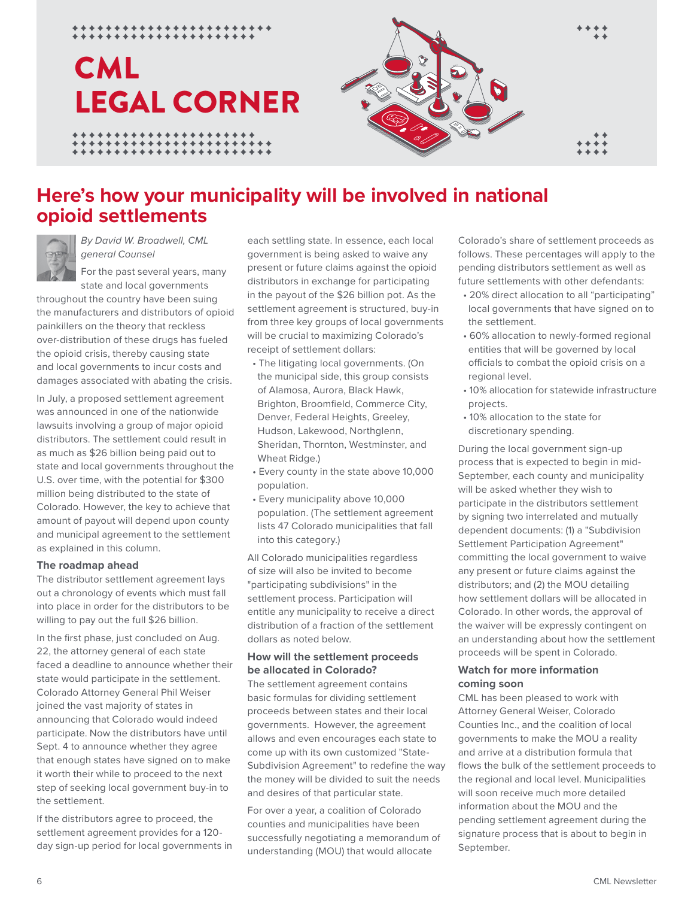## LEGAL CORNER CML

\*\*\*\*\*\*\*\*\*\*\*\*\*\*\*\*\*



## **Here's how your municipality will be involved in national opioid settlements**



*By David W. Broadwell, CML general Counsel*

\*\*\*\*\*\*\*\*\*\*\*\*\*\*\*\*\*\*\*

For the past several years, many state and local governments

throughout the country have been suing the manufacturers and distributors of opioid painkillers on the theory that reckless over-distribution of these drugs has fueled the opioid crisis, thereby causing state and local governments to incur costs and damages associated with abating the crisis.

In July, a proposed settlement agreement was announced in one of the nationwide lawsuits involving a group of major opioid distributors. The settlement could result in as much as \$26 billion being paid out to state and local governments throughout the U.S. over time, with the potential for \$300 million being distributed to the state of Colorado. However, the key to achieve that amount of payout will depend upon county and municipal agreement to the settlement as explained in this column.

#### **The roadmap ahead**

The distributor settlement agreement lays out a chronology of events which must fall into place in order for the distributors to be willing to pay out the full \$26 billion.

In the first phase, just concluded on Aug. 22, the attorney general of each state faced a deadline to announce whether their state would participate in the settlement. Colorado Attorney General Phil Weiser joined the vast majority of states in announcing that Colorado would indeed participate. Now the distributors have until Sept. 4 to announce whether they agree that enough states have signed on to make it worth their while to proceed to the next step of seeking local government buy-in to the settlement.

If the distributors agree to proceed, the settlement agreement provides for a 120 day sign-up period for local governments in each settling state. In essence, each local government is being asked to waive any present or future claims against the opioid distributors in exchange for participating in the payout of the \$26 billion pot. As the settlement agreement is structured, buy-in from three key groups of local governments will be crucial to maximizing Colorado's receipt of settlement dollars:

- The litigating local governments. (On the municipal side, this group consists of Alamosa, Aurora, Black Hawk, Brighton, Broomfield, Commerce City, Denver, Federal Heights, Greeley, Hudson, Lakewood, Northglenn, Sheridan, Thornton, Westminster, and Wheat Ridge.)
- Every county in the state above 10,000 population.
- Every municipality above 10,000 population. (The settlement agreement lists 47 Colorado municipalities that fall into this category.)

All Colorado municipalities regardless of size will also be invited to become "participating subdivisions" in the settlement process. Participation will entitle any municipality to receive a direct distribution of a fraction of the settlement dollars as noted below.

#### **How will the settlement proceeds be allocated in Colorado?**

The settlement agreement contains basic formulas for dividing settlement proceeds between states and their local governments. However, the agreement allows and even encourages each state to come up with its own customized "State-Subdivision Agreement" to redefine the way the money will be divided to suit the needs and desires of that particular state.

For over a year, a coalition of Colorado counties and municipalities have been successfully negotiating a memorandum of understanding (MOU) that would allocate

Colorado's share of settlement proceeds as follows. These percentages will apply to the pending distributors settlement as well as future settlements with other defendants:

- 20% direct allocation to all "participating" local governments that have signed on to the settlement.
- 60% allocation to newly-formed regional entities that will be governed by local officials to combat the opioid crisis on a regional level.
- 10% allocation for statewide infrastructure projects.
- 10% allocation to the state for discretionary spending.

During the local government sign-up process that is expected to begin in mid-September, each county and municipality will be asked whether they wish to participate in the distributors settlement by signing two interrelated and mutually dependent documents: (1) a "Subdivision Settlement Participation Agreement" committing the local government to waive any present or future claims against the distributors; and (2) the MOU detailing how settlement dollars will be allocated in Colorado. In other words, the approval of the waiver will be expressly contingent on an understanding about how the settlement proceeds will be spent in Colorado.

#### **Watch for more information coming soon**

CML has been pleased to work with Attorney General Weiser, Colorado Counties Inc., and the coalition of local governments to make the MOU a reality and arrive at a distribution formula that flows the bulk of the settlement proceeds to the regional and local level. Municipalities will soon receive much more detailed information about the MOU and the pending settlement agreement during the signature process that is about to begin in September.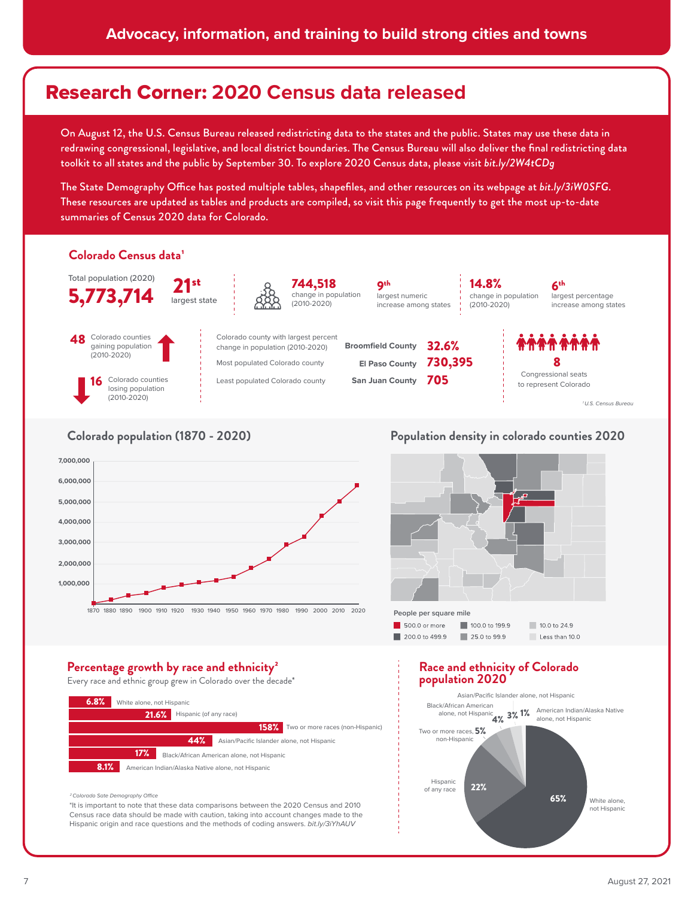## Research Corner: **2020 Census data released**

On August 12, the U.S. Census Bureau released redistricting data to the states and the public. States may use these data in redrawing congressional, legislative, and local district boundaries. The Census Bureau will also deliver the final redistricting data toolkit to all states and the public by September 30. To explore 2020 Census data, please visit *bit.ly/2W4tCDg*

The State Demography Office has posted multiple tables, shapefiles, and other resources on its webpage at *bit.ly/3iW0SFG*. These resources are updated as tables and products are compiled, so visit this page frequently to get the most up-to-date summaries of Census 2020 data for Colorado.



#### **Colorado population (1870 - 2020)**



#### **Population density in colorado counties 2020**



#### Percentage growth by race and ethnicity<sup>2</sup>

Every race and ethnic group grew in Colorado over the decade\*



#### <sup>2</sup> Colorado Sate Demography Office

\*It is important to note that these data comparisons between the 2020 Census and 2010 Census race data should be made with caution, taking into account changes made to the Hispanic origin and race questions and the methods of coding answers. bit.ly/3iYhAUV